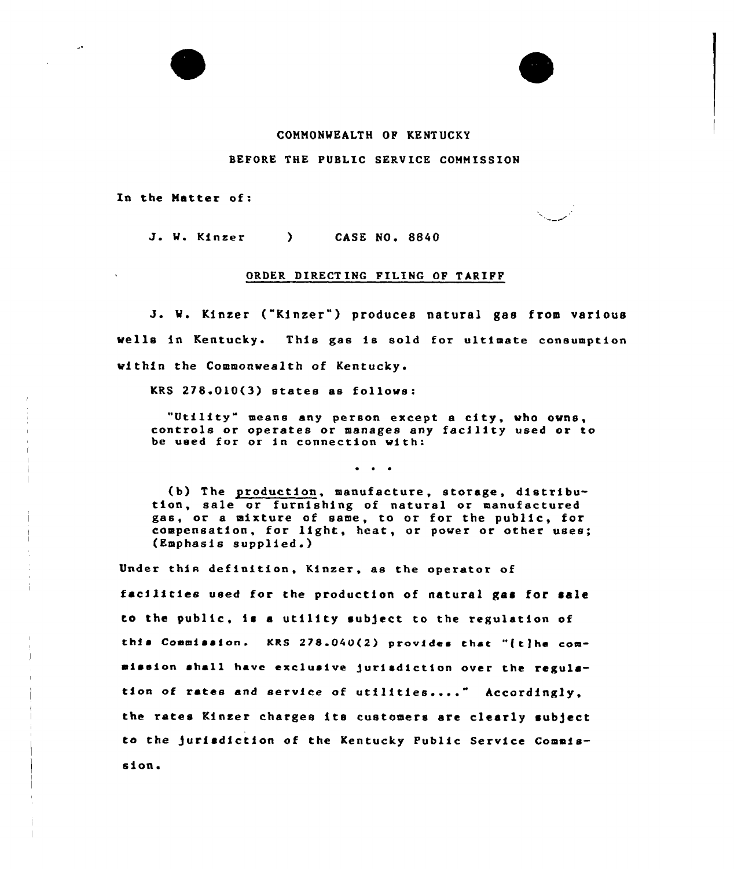## COMMONWEALTH OF KENTUCKY

## BEFORE THE PUBLIC SERVICE COMMISSION

In the Natter of:

J. M. Kinzer CASE NO. <sup>8840</sup>

## ORDER DIRECT ING FILING OF TARIPP

J. M. Kinzer ("Kinzer") produces natural gas from various wells in Kentucky. This gas is sold for ultimate consumption within the Commonwealth of Kentucky.

 $KRS$  278.010(3) states as follows:

"Utility" means any person except <sup>a</sup> city, who controls or operates or manages any facility used or to be used for or in connection with:

 $\sim$   $\sim$   $\sim$ 

(b) The production, manufacture, storage, distribution, sale or furnishing of natural or manufactured gas, or a mixture of same, to or for the public, for compensation, for light, heat, or power or other uses; (Emphasis supplied )

Under this definition, Kinzer, as the operator of facilities used for the production of natural gas for sale to the public, is a utility subject to the regulation of this Commission. KRS  $278.040(2)$  provides that "[t]he commission shall have exclusive jurisdiction over the regulation of rates and service of utilities...." Accordingly the rates Kinzer charges its customers are clearly sub)ect to the jurisdiction of the Kentucky Public Service Commission.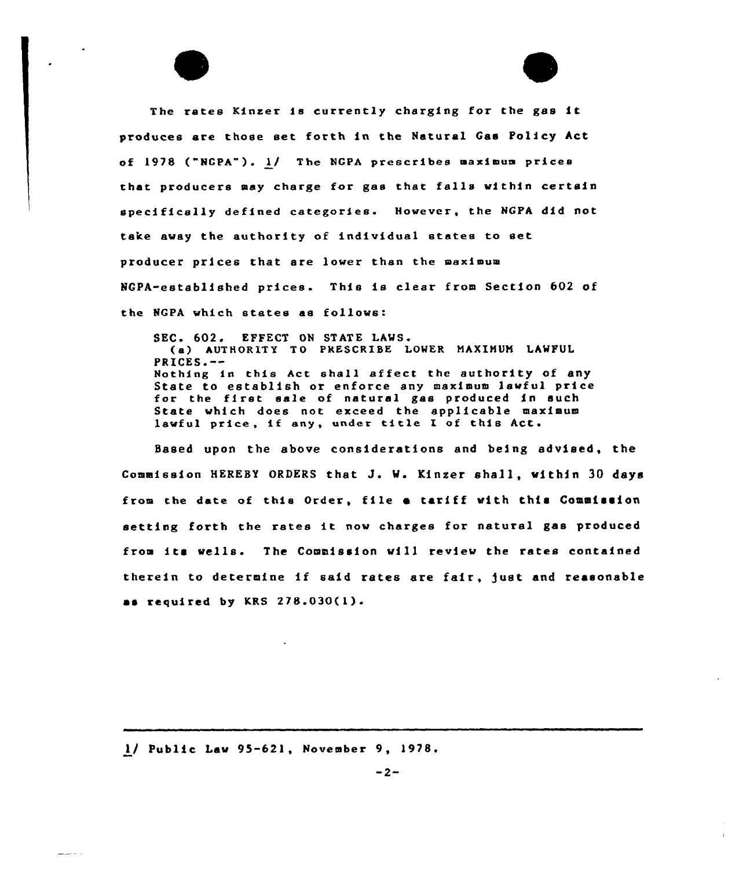The rates Kinzer is currently charging for the gas it produces are those set forth in the Natural Gas Policy Act of 1978 ("NGPA"). 1/ The NGPA prescribes maximum prices that producers may charge for gas that falls within certain specifically defined categories. However, the NGPA did not take away the authority of individual states to set producer prices that are lower than the maximum NGPA-established prices. This is clear from Section 602 of the NGPA which states as follows:

SEC. 602. EFFECT ON STATE LAWS. (a) AUTHORITY TO PRESCRIBE LOWER MAXIMUM LAWFVL PRICES.-- Nothing in this Act shall affect the authority of any State to establish or enforce any maximum lawful price for the first sale of natural gas produced in such State which does not exceed the applicable maximum lawful price, if any, under title I of this Act.

Based upon the above considerations and being advised, the Commission HEREBY ORDERS that J. W. Kinzer shall, within 30 days from the date of this Order, file a tariff with this Commission setting forth the rates it now charges for natural gas produced from its wells. The Commission will review the rates contained therein to determine if said rates are fair, just and reasonable as required by KRS 278.030(1).

l/ Public Law 95-621, November 9, 1978.

 $\frac{1}{2\pi}\left[\frac{1}{2(1-\alpha)}\right]_{\alpha=0}=\frac{1}{2\alpha}\left[\frac{1}{2\alpha}\right]_{\alpha=0}=\frac{1}{2\alpha}\left[\frac{1}{2\alpha}\right]_{\alpha=0}=\frac{1}{2\alpha}\left[\frac{1}{2\alpha}\right]_{\alpha=0}=\frac{1}{2\alpha}\left[\frac{1}{2\alpha}\right]_{\alpha=0}=\frac{1}{2\alpha}\left[\frac{1}{2\alpha}\right]_{\alpha=0}=\frac{1}{2\alpha}\left[\frac{1}{2\alpha}\right]_{\alpha=0}=\frac{1}{2\alpha}\left[\frac{1}{2\alpha}\right]_{\alpha=0}=\$